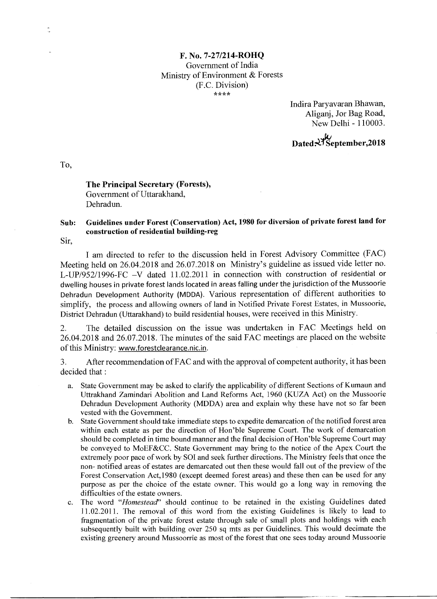## **F. No. 7-27/214-ROHQ**  Government of India Ministry of Environment & Forests (F.C. Division) *\*,,c\*\**

Indira Paryavaran Bhawan, Aliganj, Jor Bag Road, New Delhi - 110003.

**Dated :4114September,2018** 

**To,** 

## **The Principal Secretary (Forests),**  Government of Uttarakhand, Dehradun.

## **Sub: Guidelines under Forest (Conservation) Act, 1980 for diversion of private forest land for construction of residential building-reg**

Sir,

I am directed to refer to the discussion held in Forest Advisory Committee (FAC) Meeting held on 26.04.2018 and 26.07.2018 on Ministry's guideline as issued vide letter no. L-UP/952/1996-FC —V dated 11.02.2011 in connection with construction of residential or dwelling houses in private forest lands located in areas falling under the jurisdiction of the Mussoorie Dehradun Development Authority (MDDA). Various representation of different authorities to simplify, the process and allowing owners of land in Notified Private Forest Estates, in Mussoorie, District Dehradun (Uttarakhand) to build residential houses, were received in this Ministry.

2. The detailed discussion on the issue was undertaken in FAC Meetings held on 26.04.2018 and 26.07.2018. The minutes of the said FAC meetings are placed on the website of this Ministry: www.forestclearance.nic.in.

3. After recommendation of FAC and with the approval of competent authority, it has been decided that :

- a. State Government may be asked to clarify the applicability of different Sections of Kumaun and Uttrakhand Zamindari Abolition and Land Reforms Act, 1960 (KUZA Act) on the Mussoorie Dehradun Development Authority (MDDA) area and explain why these have not so far been vested with the Government.
- b. State Government should take immediate steps to expedite demarcation of the notified forest area within each estate as per the direction of Hon'ble Supreme Court. The work of demarcation should be completed in time bound manner and the final decision of Hon'ble Supreme Court may be conveyed to MoEF&CC. State Government may bring to the notice of the Apex Court the extremely poor pace of work by SOT and seek further directions. The Ministry feels that once the non- notified areas of estates are demarcated out then these would fall out of the preview of the Forest Conservation Act,1980 (except deemed forest areas) and these then can be used for any purpose as per the choice of the estate owner. This would go a long way in removing the difficulties of the estate owners.
- c. The word *"Homestead"* should continue to be retained in the existing Guidelines dated 11.02.2011. The removal of this word from the existing Guidelines is likely to lead to fragmentation of the private forest estate through sale of small plots and holdings with each subsequently built with building over 250 sq mts as per Guidelines. This would decimate the existing greenery around Mussoorrie as most of the forest that one sees today around Mussoorie